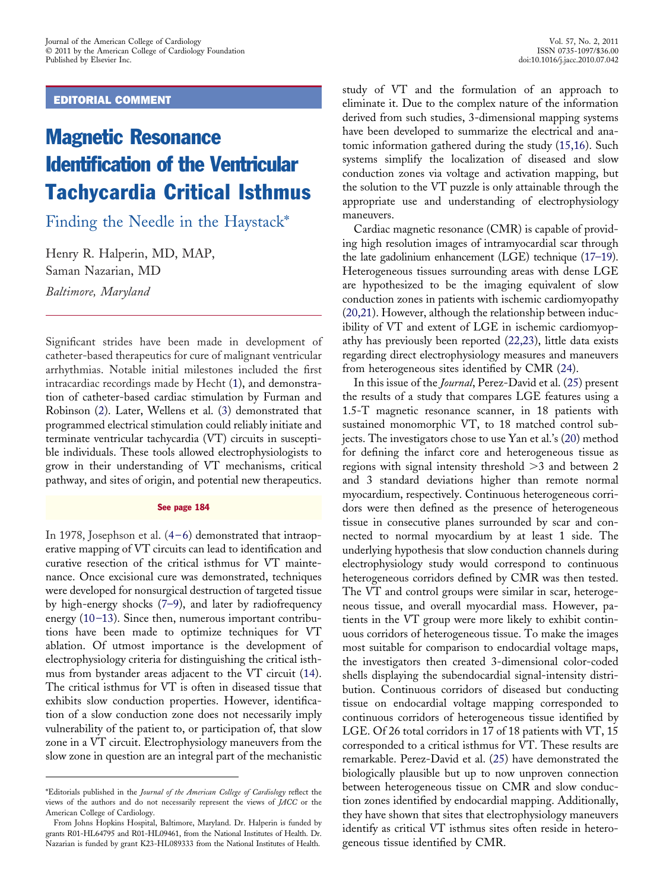EDITORIAL COMMENT

## Magnetic Resonance Identification of the Ventricular Tachycardia Critical Isthmus

Finding the Needle in the Haystack\*

Henry R. Halperin, MD, MAP, Saman Nazarian, MD *Baltimore, Maryland*

Significant strides have been made in development of catheter-based therapeutics for cure of malignant ventricular arrhythmias. Notable initial milestones included the first intracardiac recordings made by Hecht [\(1\)](#page-1-0), and demonstration of catheter-based cardiac stimulation by Furman and Robinson [\(2\)](#page-1-0). Later, Wellens et al. [\(3\)](#page-1-0) demonstrated that programmed electrical stimulation could reliably initiate and terminate ventricular tachycardia (VT) circuits in susceptible individuals. These tools allowed electrophysiologists to grow in their understanding of VT mechanisms, critical pathway, and sites of origin, and potential new therapeutics.

## See page 184

In 1978, Josephson et al. [\(4–6\)](#page-1-0) demonstrated that intraoperative mapping of VT circuits can lead to identification and curative resection of the critical isthmus for VT maintenance. Once excisional cure was demonstrated, techniques were developed for nonsurgical destruction of targeted tissue by high-energy shocks [\(7–9\)](#page-1-0), and later by radiofrequency energy  $(10-13)$ . Since then, numerous important contributions have been made to optimize techniques for VT ablation. Of utmost importance is the development of electrophysiology criteria for distinguishing the critical isthmus from bystander areas adjacent to the VT circuit [\(14\)](#page-1-0). The critical isthmus for VT is often in diseased tissue that exhibits slow conduction properties. However, identification of a slow conduction zone does not necessarily imply vulnerability of the patient to, or participation of, that slow zone in a VT circuit. Electrophysiology maneuvers from the slow zone in question are an integral part of the mechanistic

study of VT and the formulation of an approach to eliminate it. Due to the complex nature of the information derived from such studies, 3-dimensional mapping systems have been developed to summarize the electrical and anatomic information gathered during the study [\(15,16\)](#page-1-0). Such systems simplify the localization of diseased and slow conduction zones via voltage and activation mapping, but the solution to the VT puzzle is only attainable through the appropriate use and understanding of electrophysiology maneuvers.

Cardiac magnetic resonance (CMR) is capable of providing high resolution images of intramyocardial scar through the late gadolinium enhancement (LGE) technique [\(17–19\)](#page-1-0). Heterogeneous tissues surrounding areas with dense LGE are hypothesized to be the imaging equivalent of slow conduction zones in patients with ischemic cardiomyopathy [\(20,21\)](#page-1-0). However, although the relationship between inducibility of VT and extent of LGE in ischemic cardiomyopathy has previously been reported [\(22,23\)](#page-1-0), little data exists regarding direct electrophysiology measures and maneuvers from heterogeneous sites identified by CMR [\(24\)](#page-2-0).

In this issue of the *Journal*, Perez-David et al. [\(25\)](#page-2-0) present the results of a study that compares LGE features using a 1.5-T magnetic resonance scanner, in 18 patients with sustained monomorphic VT, to 18 matched control subjects. The investigators chose to use Yan et al.'s [\(20\)](#page-1-0) method for defining the infarct core and heterogeneous tissue as regions with signal intensity threshold  $>3$  and between 2 and 3 standard deviations higher than remote normal myocardium, respectively. Continuous heterogeneous corridors were then defined as the presence of heterogeneous tissue in consecutive planes surrounded by scar and connected to normal myocardium by at least 1 side. The underlying hypothesis that slow conduction channels during electrophysiology study would correspond to continuous heterogeneous corridors defined by CMR was then tested. The VT and control groups were similar in scar, heterogeneous tissue, and overall myocardial mass. However, patients in the VT group were more likely to exhibit continuous corridors of heterogeneous tissue. To make the images most suitable for comparison to endocardial voltage maps, the investigators then created 3-dimensional color-coded shells displaying the subendocardial signal-intensity distribution. Continuous corridors of diseased but conducting tissue on endocardial voltage mapping corresponded to continuous corridors of heterogeneous tissue identified by LGE. Of 26 total corridors in 17 of 18 patients with VT, 15 corresponded to a critical isthmus for VT. These results are remarkable. Perez-David et al. [\(25\)](#page-2-0) have demonstrated the biologically plausible but up to now unproven connection between heterogeneous tissue on CMR and slow conduction zones identified by endocardial mapping. Additionally, they have shown that sites that electrophysiology maneuvers identify as critical VT isthmus sites often reside in heterogeneous tissue identified by CMR.

<sup>\*</sup>Editorials published in the *Journal of the American College of Cardiology* reflect the views of the authors and do not necessarily represent the views of *JACC* or the American College of Cardiology.

From Johns Hopkins Hospital, Baltimore, Maryland. Dr. Halperin is funded by grants R01-HL64795 and R01-HL09461, from the National Institutes of Health. Dr. Nazarian is funded by grant K23-HL089333 from the National Institutes of Health.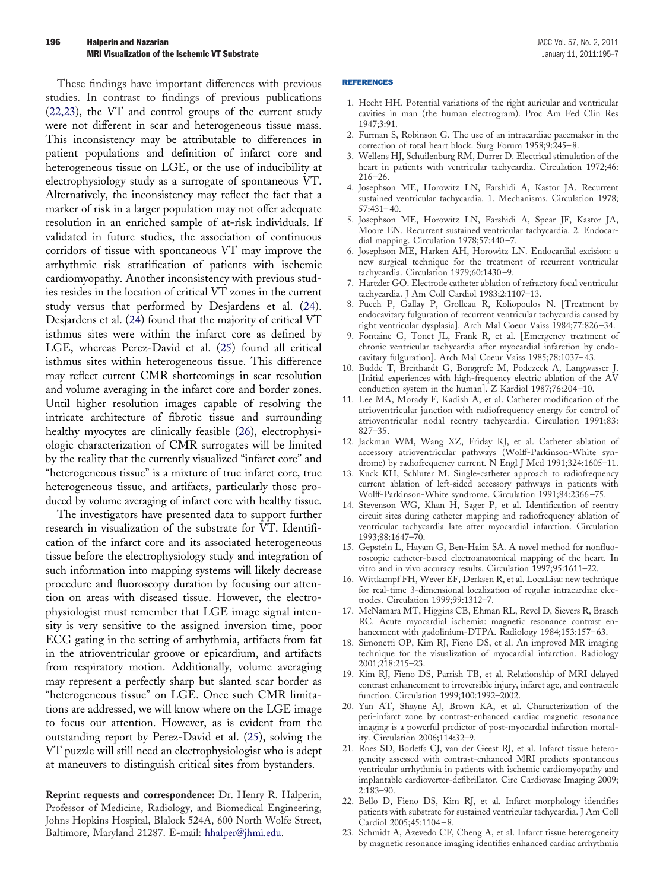<span id="page-1-0"></span>These findings have important differences with previous studies. In contrast to findings of previous publications (22,23), the VT and control groups of the current study were not different in scar and heterogeneous tissue mass. This inconsistency may be attributable to differences in patient populations and definition of infarct core and heterogeneous tissue on LGE, or the use of inducibility at electrophysiology study as a surrogate of spontaneous VT. Alternatively, the inconsistency may reflect the fact that a marker of risk in a larger population may not offer adequate resolution in an enriched sample of at-risk individuals. If validated in future studies, the association of continuous corridors of tissue with spontaneous VT may improve the arrhythmic risk stratification of patients with ischemic cardiomyopathy. Another inconsistency with previous studies resides in the location of critical VT zones in the current study versus that performed by Desjardens et al. [\(24\)](#page-2-0). Desjardens et al. [\(24\)](#page-2-0) found that the majority of critical VT isthmus sites were within the infarct core as defined by LGE, whereas Perez-David et al. [\(25\)](#page-2-0) found all critical isthmus sites within heterogeneous tissue. This difference may reflect current CMR shortcomings in scar resolution and volume averaging in the infarct core and border zones. Until higher resolution images capable of resolving the intricate architecture of fibrotic tissue and surrounding healthy myocytes are clinically feasible [\(26\)](#page-2-0), electrophysiologic characterization of CMR surrogates will be limited by the reality that the currently visualized "infarct core" and "heterogeneous tissue" is a mixture of true infarct core, true heterogeneous tissue, and artifacts, particularly those produced by volume averaging of infarct core with healthy tissue.

The investigators have presented data to support further research in visualization of the substrate for VT. Identification of the infarct core and its associated heterogeneous tissue before the electrophysiology study and integration of such information into mapping systems will likely decrease procedure and fluoroscopy duration by focusing our attention on areas with diseased tissue. However, the electrophysiologist must remember that LGE image signal intensity is very sensitive to the assigned inversion time, poor ECG gating in the setting of arrhythmia, artifacts from fat in the atrioventricular groove or epicardium, and artifacts from respiratory motion. Additionally, volume averaging may represent a perfectly sharp but slanted scar border as "heterogeneous tissue" on LGE. Once such CMR limitations are addressed, we will know where on the LGE image to focus our attention. However, as is evident from the outstanding report by Perez-David et al. [\(25\)](#page-2-0), solving the VT puzzle will still need an electrophysiologist who is adept at maneuvers to distinguish critical sites from bystanders.

**Reprint requests and correspondence:** Dr. Henry R. Halperin, Professor of Medicine, Radiology, and Biomedical Engineering, Johns Hopkins Hospital, Blalock 524A, 600 North Wolfe Street, Baltimore, Maryland 21287. E-mail: [hhalper@jhmi.edu.](mailto:hhalper@jhmi.edu)

## REFERENCES

- 1. Hecht HH. Potential variations of the right auricular and ventricular cavities in man (the human electrogram). Proc Am Fed Clin Res 1947;3:91.
- 2. Furman S, Robinson G. The use of an intracardiac pacemaker in the correction of total heart block. Surg Forum 1958;9:245– 8.
- 3. Wellens HJ, Schuilenburg RM, Durrer D. Electrical stimulation of the heart in patients with ventricular tachycardia. Circulation 1972;46: 216 –26.
- 4. Josephson ME, Horowitz LN, Farshidi A, Kastor JA. Recurrent sustained ventricular tachycardia. 1. Mechanisms. Circulation 1978; 57:431– 40.
- 5. Josephson ME, Horowitz LN, Farshidi A, Spear JF, Kastor JA, Moore EN. Recurrent sustained ventricular tachycardia. 2. Endocardial mapping. Circulation 1978;57:440 –7.
- 6. Josephson ME, Harken AH, Horowitz LN. Endocardial excision: a new surgical technique for the treatment of recurrent ventricular tachycardia. Circulation 1979;60:1430 –9.
- 7. Hartzler GO. Electrode catheter ablation of refractory focal ventricular tachycardia. J Am Coll Cardiol 1983;2:1107–13.
- 8. Puech P, Gallay P, Grolleau R, Koliopoulos N. [Treatment by endocavitary fulguration of recurrent ventricular tachycardia caused by right ventricular dysplasia]. Arch Mal Coeur Vaiss 1984;77:826 –34.
- 9. Fontaine G, Tonet JL, Frank R, et al. [Emergency treatment of chronic ventricular tachycardia after myocardial infarction by endocavitary fulguration]. Arch Mal Coeur Vaiss 1985;78:1037– 43.
- 10. Budde T, Breithardt G, Borggrefe M, Podczeck A, Langwasser J. [Initial experiences with high-frequency electric ablation of the AV conduction system in the human]. Z Kardiol 1987;76:204 –10.
- 11. Lee MA, Morady F, Kadish A, et al. Catheter modification of the atrioventricular junction with radiofrequency energy for control of atrioventricular nodal reentry tachycardia. Circulation 1991;83: 827–35.
- 12. Jackman WM, Wang XZ, Friday KJ, et al. Catheter ablation of accessory atrioventricular pathways (Wolff-Parkinson-White syndrome) by radiofrequency current. N Engl J Med 1991;324:1605–11.
- 13. Kuck KH, Schluter M. Single-catheter approach to radiofrequency current ablation of left-sided accessory pathways in patients with Wolff-Parkinson-White syndrome. Circulation 1991;84:2366 –75.
- 14. Stevenson WG, Khan H, Sager P, et al. Identification of reentry circuit sites during catheter mapping and radiofrequency ablation of ventricular tachycardia late after myocardial infarction. Circulation 1993;88:1647–70.
- 15. Gepstein L, Hayam G, Ben-Haim SA. A novel method for nonfluoroscopic catheter-based electroanatomical mapping of the heart. In vitro and in vivo accuracy results. Circulation 1997;95:1611–22.
- 16. Wittkampf FH, Wever EF, Derksen R, et al. LocaLisa: new technique for real-time 3-dimensional localization of regular intracardiac electrodes. Circulation 1999;99:1312–7.
- 17. McNamara MT, Higgins CB, Ehman RL, Revel D, Sievers R, Brasch RC. Acute myocardial ischemia: magnetic resonance contrast enhancement with gadolinium-DTPA. Radiology 1984;153:157-63.
- 18. Simonetti OP, Kim RJ, Fieno DS, et al. An improved MR imaging technique for the visualization of myocardial infarction. Radiology 2001;218:215–23.
- 19. Kim RJ, Fieno DS, Parrish TB, et al. Relationship of MRI delayed contrast enhancement to irreversible injury, infarct age, and contractile function. Circulation 1999;100:1992–2002.
- 20. Yan AT, Shayne AJ, Brown KA, et al. Characterization of the peri-infarct zone by contrast-enhanced cardiac magnetic resonance imaging is a powerful predictor of post-myocardial infarction mortality. Circulation 2006;114:32–9.
- 21. Roes SD, Borleffs CJ, van der Geest RJ, et al. Infarct tissue heterogeneity assessed with contrast-enhanced MRI predicts spontaneous ventricular arrhythmia in patients with ischemic cardiomyopathy and implantable cardioverter-defibrillator. Circ Cardiovasc Imaging 2009; 2:183–90.
- 22. Bello D, Fieno DS, Kim RJ, et al. Infarct morphology identifies patients with substrate for sustained ventricular tachycardia. J Am Coll Cardiol 2005;45:1104 – 8.
- 23. Schmidt A, Azevedo CF, Cheng A, et al. Infarct tissue heterogeneity by magnetic resonance imaging identifies enhanced cardiac arrhythmia